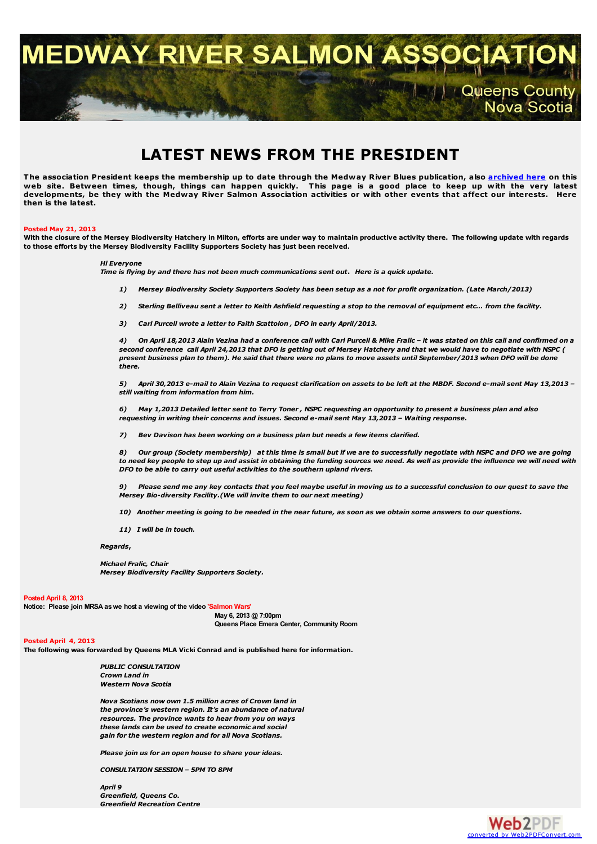**MEDWAY RIVER SALMON ASSO** 

**Queens County** Nova Scotia

# **LATEST NEWS FROM THE PRESIDENT**

The association President keeps the membership up to date through the Medway River Blues publication, also <u>[archived](http://medwayriversalmonassociation.org/archives/archives.html) here</u> on this<br>web site. Between times, though, things can happen quickly. This page is a good place to k developments, be they with the Medway River Salmon Association activities or with other events that affect our interests. Here **then is the latest.**

#### **Posted May 21, 2013**

With the closure of the Mersey Biodiversity Hatchery in Milton, efforts are under way to maintain productive activity there. The following update with regards **to those efforts by the Mersey Biodiversity Facility Supporters Society has just been received.**

### *Hi Everyone*

Time is flying by and there has not been much communications sent out. Here is a quick update.

- 1) Mersey Biodiversity Society Supporters Society has been setup as a not for profit organization. (Late March/2013)
- 2) Sterling Belliveau sent a letter to Keith Ashfield requesting a stop to the removal of equipment etc... from the facility.
- *3) Carl Purcell wrote a letter to Faith Scattolon , DFO in early April/2013.*

4) On April 18,2013 Alain Vezina had a conference call with Carl Purcell & Mike Fralic - it was stated on this call and confirmed on a second conference call April 24,2013 that DFO is getting out of Mersey Hatchery and that we would have to negotiate with NSPC ( present business plan to them). He said that there were no plans to move assets until September/2013 when DFO will be done *there.*

5) April 30,2013 e-mail to Alain Vezina to request clarification on assets to be left at the MBDF. Second e-mail sent May 13,2013 *still waiting from information from him.*

6) May 1,2013 Detailed letter sent to Terry Toner, NSPC requesting an opportunity to present a business plan and also *requesting in writing their concerns and issues. Second e-mail sent May 13,2013 – Waiting response.*

*7) Bev Davison has been working on a business plan but needs a few items clarified.*

8) Our group (Society membership) at this time is small but if we are to successfully negotiate with NSPC and DFO we are going to need key people to step up and assist in obtaining the funding sources we need. As well as provide the influence we will need with *DFO to be able to carry out useful activities to the southern upland rivers.*

Please send me any key contacts that you feel maybe useful in moving us to a successful conclusion to our quest to save the *Mersey Bio-diversity Facility.(We will invite them to our next meeting)*

- 10) Another meeting is going to be needed in the near future, as soon as we obtain some answers to our questions.
- *11) I will be in touch.*

*Regards***,**

*Michael Fralic, Chair Mersey Biodiversity Facility Supporters Society.*

#### **Posted April 8, 2013**

**Notice: Please join MRSA aswe host a viewing of the video 'Salmon Wars'**

**May 6, 2013 @ 7:00pm QueensPlace Emera Center, Community Room**

## **Posted April 4, 2013**

**The following was forwarded by Queens MLA Vicki Conrad and is published here for information.**

*PUBLIC CONSULTATION Crown Land in Western Nova Scotia*

*Nova Scotians now own 1.5 million acres of Crown land in the province's western region. It's an abundance of natural resources. The province wants to hear from you on ways these lands can be used to create economic and social gain for the western region and for all Nova Scotians.*

*Please join us for an open house to share your ideas.*

*CONSULTATION SESSION – 5PM TO 8PM*

*April 9 Greenfield, Queens Co. Greenfield Recreation Centre*

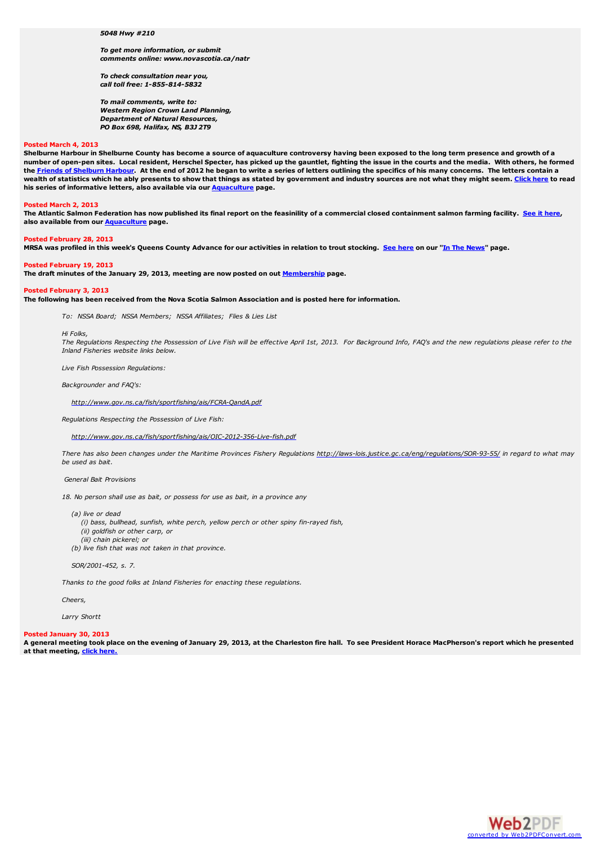#### *5048 Hwy #210*

*To get more information, or submit comments online: www.novascotia.ca/natr*

*To check consultation near you, call toll free: 1-855-814-5832*

*To mail comments, write to: Western Region Crown Land Planning, Department of Natural Resources, PO Box 698, Halifax, NS, B3J 2T9*

#### **Posted March 4, 2013**

Shelburne Harbour in Shelburne County has become a source of aquaculture controversy having been exposed to the long term presence and growth of a number of open-pen sites. Local resident, Herschel Specter, has picked up the gauntlet, fighting the issue in the courts and the media. With others, he formed the Friends of [Shelburn](http://friendsofshelburneharbour.org/) Harbour. At the end of 2012 he began to write a series of letters outlining the specifics of his many concerns. The letters contain a wealth of statistics which he ably presents to show that things as stated by government and industry sources are not what they might seem. [Click](http://medwayriversalmonassociation.org/aquaculture/HerschellSpecterLetters.html) here to read **his series of informative letters, also available via our [Aquaculture](http://medwayriversalmonassociation.org/aquaculture/aquaculture.html) page.**

#### **Posted March 2, 2013**

The Atlantic Salmon Federation has now published its final report on the feasinility of a commercial closed containment salmon farming facility. See it [here](http://medwayriversalmonassociation.org/aquaculture/ClosedContainmentReport.pdf), **also available from our [Aquaculture](http://medwayriversalmonassociation.org/aquaculture/aquaculture.html) page.**

#### **Posted February 28, 2013**

MRSA was profiled in this week's Queens County Advance for our activities in relation to trout stocking. See [here](http://medwayriversalmonassociation.org/news/Advance26Feb2013.pdf) on our "In The [News](http://medwayriversalmonassociation.org/news/inthenews.html)" page.

#### **Posted February 19, 2013**

**The draft minutes of the January 29, 2013, meeting are now posted on out [Membership](http://medwayriversalmonassociation.org/membership/membership.html) page.**

#### **Posted February 3, 2013**

The following has been received from the Nova Scotia Salmon Association and is posted here for information.

*To: NSSA Board; NSSA Members; NSSA Affiliates; Flies & Lies List*

#### *Hi Folks,*

The Regulations Respecting the Possession of Live Fish will be effective April 1st, 2013. For Background Info, FAO's and the new regulations please refer to the *Inland Fisheries website links below.*

*Live Fish Possession Regulations:*

*Backgrounder and FAQ's:*

*<http://www.gov.ns.ca/fish/sportfishing/ais/FCRA-QandA.pdf>*

*Regulations Respecting the Possession of Live Fish:*

*<http://www.gov.ns.ca/fish/sportfishing/ais/OIC-2012-356-Live-fish.pdf>*

There has also been changes under the Maritime Provinces Fishery Regulations <http://laws-lois.justice.gc.ca/eng/regulations/SOR-93-55/> in regard to what may *be used as bait.*

#### *General Bait Provisions*

*18. No person shall use as bait, or possess for use as bait, in a province any*

*(a) live or dead*

*(i) bass, bullhead, sunfish, white perch, yellow perch or other spiny fin-rayed fish,*

- *(ii) goldfish or other carp, or*
- *(iii) chain pickerel; or*
- *(b) live fish that was not taken in that province.*

*SOR/2001-452, s. 7.*

*Thanks to the good folks at Inland Fisheries for enacting these regulations.*

*Cheers,*

*Larry Shortt*

#### **Posted January 30, 2013**

A general meeting took place on the evening of January 29, 2013, at the Charleston fire hall. To see President Horace MacPherson's report which he presented **at that meeting, click [here.](http://medwayriversalmonassociation.org/presidentsnews/MRSA2013Jan29PresReport.pdf)**

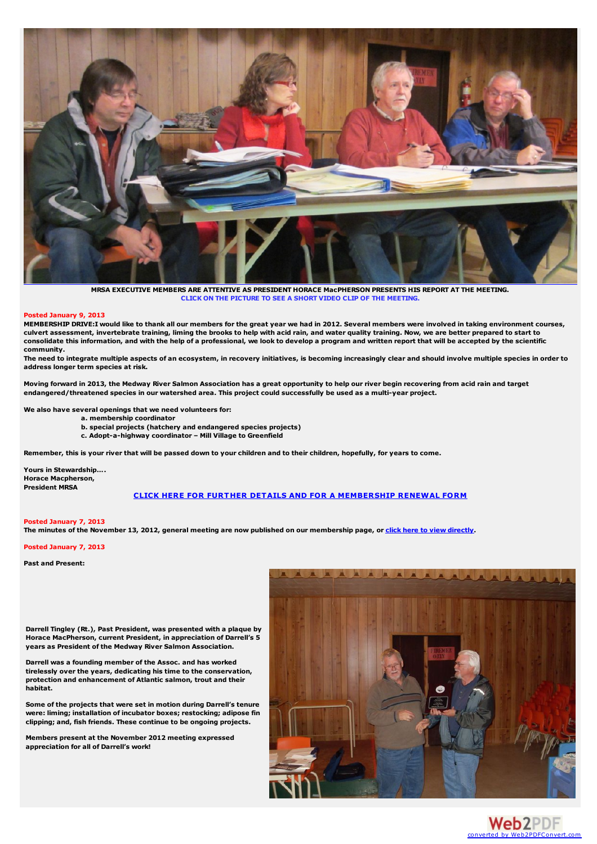

**MRSA EXECUTIVE MEMBERS ARE ATTENTIVE AS PRESIDENT HORACE MacPHERSON PRESENTS HIS REPORT AT THE MEETING. CLICK ON THE PICTURE TO SEE A SHORT VIDEO CLIP OF THE MEETING.**

#### **Posted January 9, 2013**

MEMBERSHIP DRIVE:I would like to thank all our members for the great year we had in 2012. Several members were involved in taking environment courses, culvert assessment, invertebrate training, liming the brooks to help with acid rain, and water quality training. Now, we are better prepared to start to consolidate this information, and with the help of a professional, we look to develop a program and written report that will be accepted by the scientific **community.**

The need to integrate multiple aspects of an ecosystem, in recovery initiatives, is becoming increasingly clear and should involve multiple species in order to **address longer term species at risk.**

Moving forward in 2013, the Medway River Salmon Association has a great opportunity to help our river begin recovering from acid rain and target endangered/threatened species in our watershed area. This project could successfully be used as a multi-year project.

**We also have several openings that we need volunteers for:**

- **a. membership coordinator**
- **b. special projects (hatchery and endangered species projects)**
- **c. Adopt-a-highway coordinator – Mill Village to Greenfield**

Remember, this is your river that will be passed down to your children and to their children, hopefully, for years to come.

**Yours in Stewardship…. Horace Macpherson, President MRSA**

## **CLICK HERE FOR FURTHER DETAILS AND FOR A [MEMBERSHIP](http://medwayriversalmonassociation.org/presidentsnews/MembershipDrive2013.pdf) RENEWAL FORM**

## **Posted January 7, 2013**

The minutes of the November 13, 2012, general meeting are now published on our membership page, or click here to view [directly](http://medwayriversalmonassociation.org/membership/mrsa_minutes Nov 2012.pdf).

#### **Posted January 7, 2013**

**Past and Present:**



**Darrell Tingley (Rt.), Past President, was presented with a plaque by Horace MacPherson, current President, in appreciation of Darrell's 5 years as President of the Medway River Salmon Association.**

**Darrell was a founding member of the Assoc. and has worked tirelessly over the years, dedicating his time to the conservation, protection and enhancement of Atlantic salmon, trout and their habitat.**

**Some of the projects that were set in motion during Darrell's tenure were: liming; installation of incubator boxes; restocking; adipose fin clipping; and, fish friends. These continue to be ongoing projects.**

**Members present at the November 2012 meeting expressed appreciation for all of Darrell's work!**